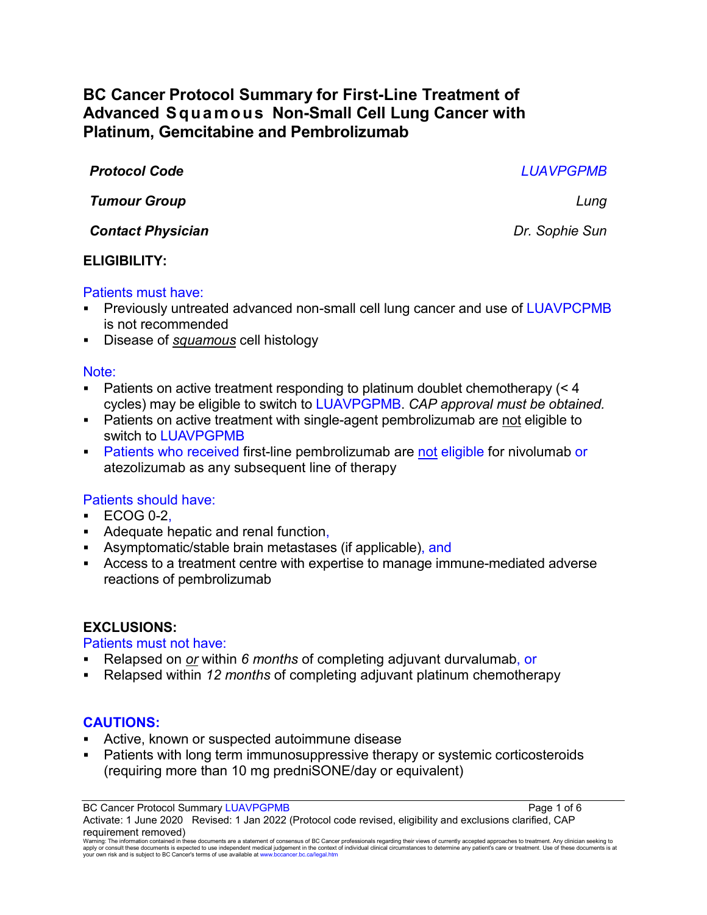# **BC Cancer Protocol Summary for First-Line Treatment of Advanced Squamous Non-Small Cell Lung Cancer with Platinum, Gemcitabine and Pembrolizumab**

*Protocol Code LUAVPGPMB Tumour Group Lung Contact Physician Dr. Sophie Sun*

## **ELIGIBILITY:**

#### Patients must have:

- Previously untreated advanced non-small cell lung cancer and use of LUAVPCPMB is not recommended
- Disease of *squamous* cell histology

#### Note:

- Patients on active treatment responding to platinum doublet chemotherapy (< 4 cycles) may be eligible to switch to LUAVPGPMB. *CAP approval must be obtained.*
- Patients on active treatment with single-agent pembrolizumab are not eligible to switch to LUAVPGPMB
- **Patients who received first-line pembrolizumab are not eligible for nivolumab or** atezolizumab as any subsequent line of therapy

## Patients should have:

- $\textdegree$  ECOG 0-2.
- Adequate hepatic and renal function,
- Asymptomatic/stable brain metastases (if applicable), and
- Access to a treatment centre with expertise to manage immune-mediated adverse reactions of pembrolizumab

#### **EXCLUSIONS:**

#### Patients must not have:

- Relapsed on *or* within *6 months* of completing adjuvant durvalumab, or
- Relapsed within *12 months* of completing adjuvant platinum chemotherapy

#### **CAUTIONS:**

- Active, known or suspected autoimmune disease
- Patients with long term immunosuppressive therapy or systemic corticosteroids (requiring more than 10 mg predniSONE/day or equivalent)

BC Cancer Protocol Summary LUAVPGPMB **Page 1 of 6** and 2008 Page 1 of 6

Activate: 1 June 2020 Revised: 1 Jan 2022 (Protocol code revised, eligibility and exclusions clarified, CAP requirement removed)

Warning: The information contained in these documents are a statement of consensus of BC Cancer professionals regarding their views of currently accepted approaches to treatment. Any clinician seeking to<br>apply or consult t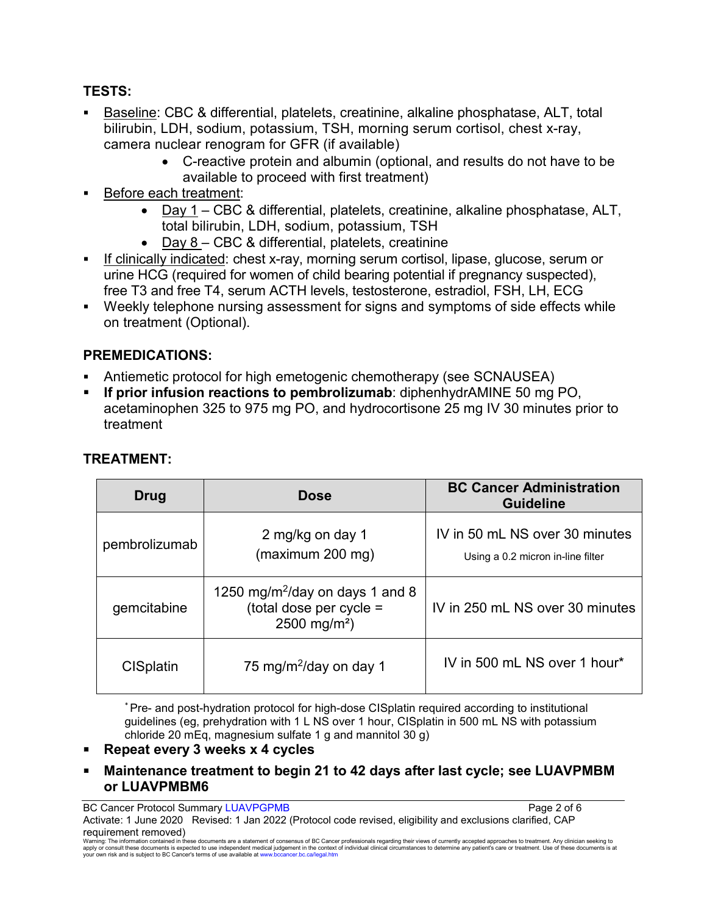# **TESTS:**

- Baseline: CBC & differential, platelets, creatinine, alkaline phosphatase, ALT, total bilirubin, LDH, sodium, potassium, TSH, morning serum cortisol, chest x-ray, camera nuclear renogram for GFR (if available)
	- C-reactive protein and albumin (optional, and results do not have to be available to proceed with first treatment)
- Before each treatment:
	- Day 1 CBC & differential, platelets, creatinine, alkaline phosphatase, ALT, total bilirubin, LDH, sodium, potassium, TSH
	- Day 8 CBC & differential, platelets, creatinine
- If clinically indicated: chest x-ray, morning serum cortisol, lipase, glucose, serum or urine HCG (required for women of child bearing potential if pregnancy suspected), free T3 and free T4, serum ACTH levels, testosterone, estradiol, FSH, LH, ECG
- Weekly telephone nursing assessment for signs and symptoms of side effects while on treatment (Optional).

# **PREMEDICATIONS:**

- Antiemetic protocol for high emetogenic chemotherapy (see SCNAUSEA)
- **If prior infusion reactions to pembrolizumab**: diphenhydrAMINE 50 mg PO, acetaminophen 325 to 975 mg PO, and hydrocortisone 25 mg IV 30 minutes prior to treatment

| Drug             | <b>Dose</b>                                                                                        | <b>BC Cancer Administration</b><br><b>Guideline</b>                 |
|------------------|----------------------------------------------------------------------------------------------------|---------------------------------------------------------------------|
| pembrolizumab    | 2 mg/kg on day 1<br>(maximum 200 mg)                                                               | IV in 50 mL NS over 30 minutes<br>Using a 0.2 micron in-line filter |
| gemcitabine      | 1250 mg/m <sup>2</sup> /day on days 1 and 8<br>(total dose per cycle =<br>2500 mg/m <sup>2</sup> ) | IV in 250 mL NS over 30 minutes                                     |
| <b>CISplatin</b> | 75 mg/m <sup>2</sup> /day on day 1                                                                 | IV in 500 mL NS over 1 hour*                                        |

# **TREATMENT:**

\* Pre- and post-hydration protocol for high-dose CISplatin required according to institutional guidelines (eg, prehydration with 1 L NS over 1 hour, CISplatin in 500 mL NS with potassium chloride 20 mEq, magnesium sulfate 1 g and mannitol 30 g)

## **Repeat every 3 weeks x 4 cycles**

 **Maintenance treatment to begin 21 to 42 days after last cycle; see LUAVPMBM or LUAVPMBM6** 

BC Cancer Protocol Summary LUAVPGPMB **Page 2 of 6** and 2 of 6

Activate: 1 June 2020 Revised: 1 Jan 2022 (Protocol code revised, eligibility and exclusions clarified, CAP requirement removed)

Warning: The information contained in these documents are a statement of consensus of BC Cancer professionals regarding their views of currently accepted approaches to treatment. Any clinician seeking to<br>apply or consult t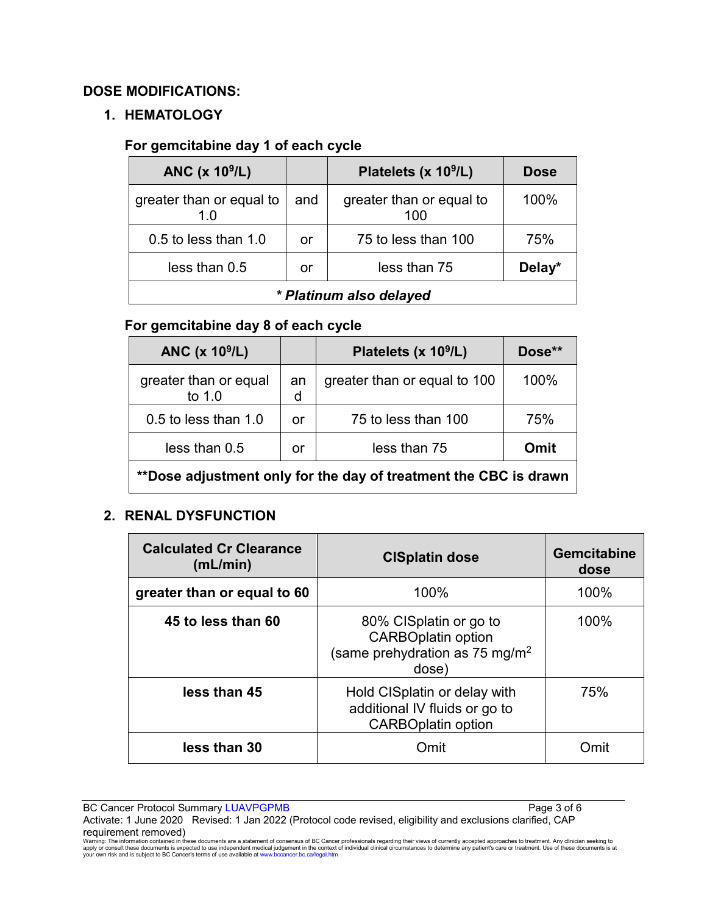# **DOSE MODIFICATIONS:**

# **1. HEMATOLOGY**

# **For gemcitabine day 1 of each cycle**

| ANC $(x 109/L)$                 |     | Platelets (x 10 <sup>9</sup> /L) | <b>Dose</b> |
|---------------------------------|-----|----------------------------------|-------------|
| greater than or equal to<br>1.0 | and | greater than or equal to<br>100  | 100%        |
| 0.5 to less than 1.0            | or  | 75 to less than 100              | 75%         |
| less than 0.5                   | or  | less than 75                     | Delay*      |
| * Platinum also delayed         |     |                                  |             |

# **For gemcitabine day 8 of each cycle**

| ANC $(x 109/L)$                                                  |         | Platelets (x $10^9$ /L)      | Dose** |
|------------------------------------------------------------------|---------|------------------------------|--------|
| greater than or equal<br>to $1.0$                                | an<br>d | greater than or equal to 100 | 100%   |
| $0.5$ to less than $1.0$                                         | or      | 75 to less than 100          | 75%    |
| less than 0.5                                                    | or      | less than 75                 | Omit   |
| **Dose adjustment only for the day of treatment the CBC is drawn |         |                              |        |

# **2. RENAL DYSFUNCTION**

| <b>Calculated Cr Clearance</b><br>(mL/min) | <b>CISplatin dose</b>                                                                                      | <b>Gemcitabine</b><br>dose |
|--------------------------------------------|------------------------------------------------------------------------------------------------------------|----------------------------|
| greater than or equal to 60                | 100%                                                                                                       | 100%                       |
| 45 to less than 60                         | 80% CISplatin or go to<br><b>CARBOplatin option</b><br>(same prehydration as 75 mg/m <sup>2</sup><br>dose) | 100%                       |
| less than 45                               | Hold CISplatin or delay with<br>additional IV fluids or go to<br><b>CARBOplatin option</b>                 | 75%                        |
| less than 30                               | Omit                                                                                                       | ∩mit                       |

BC Cancer Protocol Summary LUAVPGPMB **Page 3 of 6** and 2011 12 and 2012 12 and 2012 12 and 2012 12 and 2012 12 and 2012 12 and 2012 12 and 2012 12 and 2012 12 and 2012 12 and 2012 12 and 2012 12 and 2012 12 and 2012 12 and

Activate: 1 June 2020 Revised: 1 Jan 2022 (Protocol code revised, eligibility and exclusions clarified, CAP

**requirement removed)**<br>Waming: The information contained in these documents are a statement of consensus of BC Cancer professionals regarding their views of currently accepted approaches to treatment. Any clinician seeking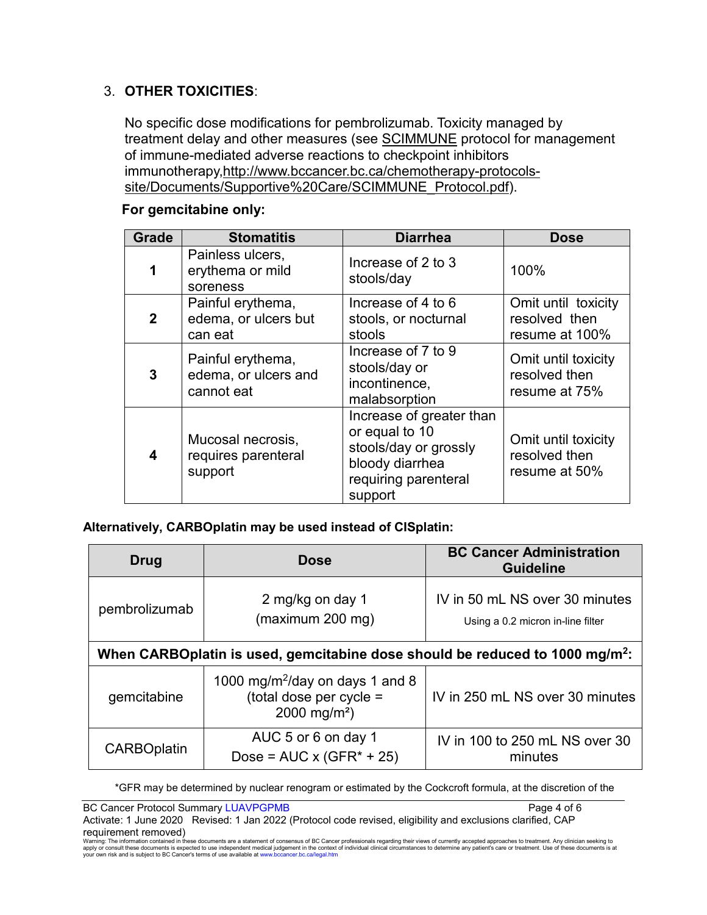# 3. **OTHER TOXICITIES**:

No specific dose modifications for pembrolizumab. Toxicity managed by treatment delay and other measures (see [SCIMMUNE](http://www.bccancer.bc.ca/chemotherapy-protocols-site/Documents/Supportive%20Care/SCIMMUNE_Protocol.pdf) protocol for management of immune-mediated adverse reactions to checkpoint inhibitors immunotherapy[,http://www.bccancer.bc.ca/chemotherapy-protocols](http://www.bccancer.bc.ca/chemotherapy-protocols-site/Documents/Supportive%20Care/SCIMMUNE_Protocol.pdf)[site/Documents/Supportive%20Care/SCIMMUNE\\_Protocol.pdf\)](http://www.bccancer.bc.ca/chemotherapy-protocols-site/Documents/Supportive%20Care/SCIMMUNE_Protocol.pdf).

#### **Grade Stomatitis Diarrhea Dose 1** Painless ulcers, erythema or mild soreness Increase of 2 to 3 stools/day  $|100\%$ **2** Painful erythema, edema, or ulcers but can eat Increase of 4 to 6 stools, or nocturnal stools Omit until toxicity resolved then resume at 100% **3** Painful erythema, edema, or ulcers and cannot eat Increase of 7 to 9 stools/day or incontinence, malabsorption Omit until toxicity resolved then resume at 75% **4** Mucosal necrosis, requires parenteral support Increase of greater than or equal to 10 stools/day or grossly bloody diarrhea requiring parenteral support Omit until toxicity resolved then resume at 50%

## **For gemcitabine only:**

## **Alternatively, CARBOplatin may be used instead of CISplatin:**

| Drug                                                                                     | <b>Dose</b>                                                                                        | <b>BC Cancer Administration</b><br><b>Guideline</b>                 |  |  |
|------------------------------------------------------------------------------------------|----------------------------------------------------------------------------------------------------|---------------------------------------------------------------------|--|--|
| pembrolizumab                                                                            | 2 mg/kg on day 1<br>(maximum 200 mg)                                                               | IV in 50 mL NS over 30 minutes<br>Using a 0.2 micron in-line filter |  |  |
| When CARBOplatin is used, gemcitabine dose should be reduced to 1000 mg/m <sup>2</sup> : |                                                                                                    |                                                                     |  |  |
| gemcitabine                                                                              | 1000 mg/m <sup>2</sup> /day on days 1 and 8<br>(total dose per cycle =<br>2000 mg/m <sup>2</sup> ) | IV in 250 mL NS over 30 minutes                                     |  |  |
| <b>CARBOplatin</b>                                                                       | AUC 5 or 6 on day 1<br>Dose = $AUC \times (GFR^* + 25)$                                            | IV in 100 to 250 mL NS over 30<br>minutes                           |  |  |

\*GFR may be determined by nuclear renogram or estimated by the Cockcroft formula, at the discretion of the

BC Cancer Protocol Summary LUAVPGPMB **Page 4 of 6** and 2011 12 and 2012 12 and 2012

Activate: 1 June 2020 Revised: 1 Jan 2022 (Protocol code revised, eligibility and exclusions clarified, CAP requirement removed)

Warning: The information contained in these documents are a statement of consensus of BC Cancer professionals regarding their views of currently accepted approaches to treatment. Any clinician seeking to<br>apply or consult t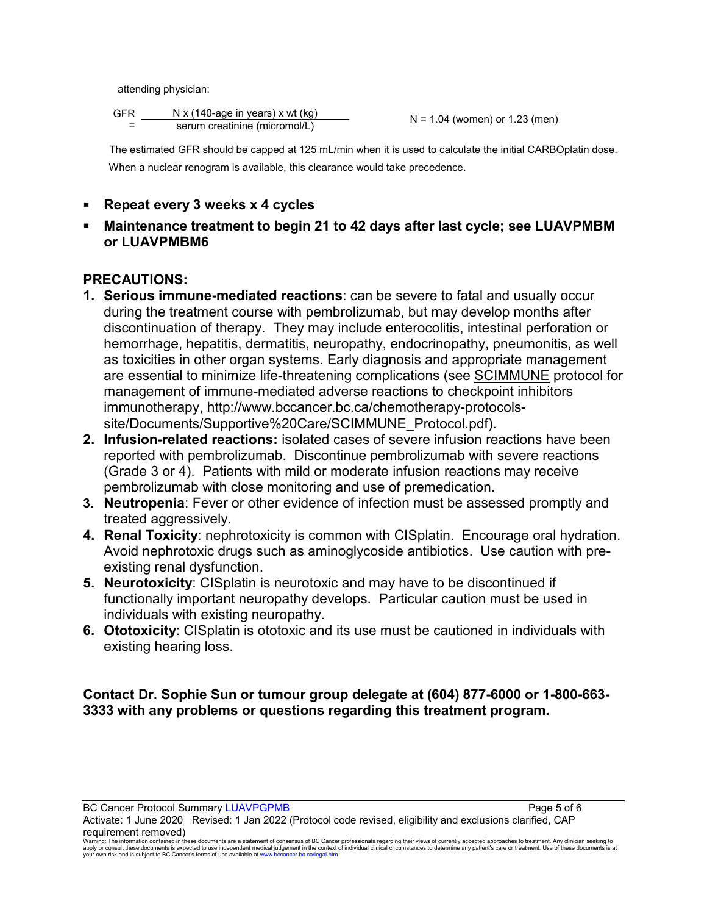attending physician:

| <b>GFR</b> | N x (140-age in years) x wt (kg) |
|------------|----------------------------------|
|            | serum creatinine (micromol/L)    |

 $N = 1.04$  (women) or 1.23 (men)

 The estimated GFR should be capped at 125 mL/min when it is used to calculate the initial CARBOplatin dose. When a nuclear renogram is available, this clearance would take precedence.

- **Repeat every 3 weeks x 4 cycles**
- **Maintenance treatment to begin 21 to 42 days after last cycle; see LUAVPMBM or LUAVPMBM6**

# **PRECAUTIONS:**

- **1. Serious immune-mediated reactions**: can be severe to fatal and usually occur during the treatment course with pembrolizumab, but may develop months after discontinuation of therapy. They may include enterocolitis, intestinal perforation or hemorrhage, hepatitis, dermatitis, neuropathy, endocrinopathy, pneumonitis, as well as toxicities in other organ systems. Early diagnosis and appropriate management are essential to minimize life-threatening complications (see [SCIMMUNE](http://www.bccancer.bc.ca/chemotherapy-protocols-site/Documents/Supportive%20Care/SCIMMUNE_Protocol.pdf) protocol for management of immune-mediated adverse reactions to checkpoint inhibitors immunotherapy, http://www.bccancer.bc.ca/chemotherapy-protocolssite/Documents/Supportive%20Care/SCIMMUNE\_Protocol.pdf).
- **2. Infusion-related reactions:** isolated cases of severe infusion reactions have been reported with pembrolizumab. Discontinue pembrolizumab with severe reactions (Grade 3 or 4). Patients with mild or moderate infusion reactions may receive pembrolizumab with close monitoring and use of premedication.
- **3. Neutropenia**: Fever or other evidence of infection must be assessed promptly and treated aggressively.
- **4. Renal Toxicity**: nephrotoxicity is common with CISplatin. Encourage oral hydration. Avoid nephrotoxic drugs such as aminoglycoside antibiotics. Use caution with preexisting renal dysfunction.
- **5. Neurotoxicity**: CISplatin is neurotoxic and may have to be discontinued if functionally important neuropathy develops. Particular caution must be used in individuals with existing neuropathy.
- **6. Ototoxicity**: CISplatin is ototoxic and its use must be cautioned in individuals with existing hearing loss.

# **Contact Dr. Sophie Sun or tumour group delegate at (604) 877-6000 or 1-800-663- 3333 with any problems or questions regarding this treatment program.**

BC Cancer Protocol Summary LUAVPGPMB **Page 5 of 6** and 2011 12 and 2012 12 and 2012 12 and 2012 12 and 2012 12 and 2012 12 and 2012 12 and 2012 12 and 2012 12 and 2012 12 and 2012 12 and 2012 12 and 2012 12 and 2012 12 and

Activate: 1 June 2020 Revised: 1 Jan 2022 (Protocol code revised, eligibility and exclusions clarified, CAP requirement removed)

Warning: The information contained in these documents are a statement of consensus of BC Cancer professionals regarding their views of currently accepted approaches to treatment. Any clinician seeking to<br>apply or consult t